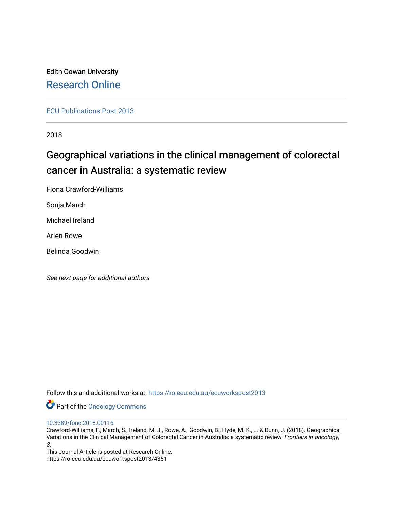Edith Cowan University [Research Online](https://ro.ecu.edu.au/) 

[ECU Publications Post 2013](https://ro.ecu.edu.au/ecuworkspost2013)

2018

# Geographical variations in the clinical management of colorectal cancer in Australia: a systematic review

Fiona Crawford-Williams

Sonja March

Michael Ireland

Arlen Rowe

Belinda Goodwin

See next page for additional authors

Follow this and additional works at: [https://ro.ecu.edu.au/ecuworkspost2013](https://ro.ecu.edu.au/ecuworkspost2013?utm_source=ro.ecu.edu.au%2Fecuworkspost2013%2F4351&utm_medium=PDF&utm_campaign=PDFCoverPages) 

Part of the [Oncology Commons](http://network.bepress.com/hgg/discipline/694?utm_source=ro.ecu.edu.au%2Fecuworkspost2013%2F4351&utm_medium=PDF&utm_campaign=PDFCoverPages) 

[10.3389/fonc.2018.00116](http://dx.doi.org/10.3389/fonc.2018.00116) 

Crawford-Williams, F., March, S., Ireland, M. J., Rowe, A., Goodwin, B., Hyde, M. K., ... & Dunn, J. (2018). Geographical Variations in the Clinical Management of Colorectal Cancer in Australia: a systematic review. Frontiers in oncology, 8.

This Journal Article is posted at Research Online. https://ro.ecu.edu.au/ecuworkspost2013/4351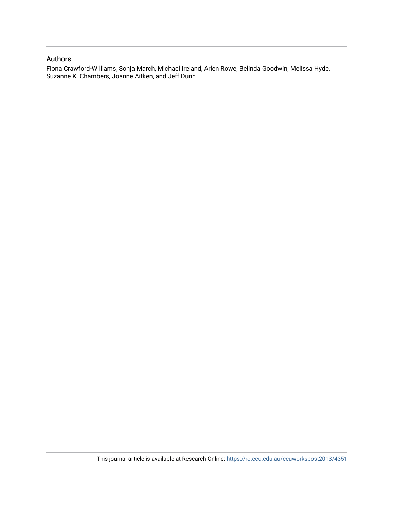### Authors

Fiona Crawford-Williams, Sonja March, Michael Ireland, Arlen Rowe, Belinda Goodwin, Melissa Hyde, Suzanne K. Chambers, Joanne Aitken, and Jeff Dunn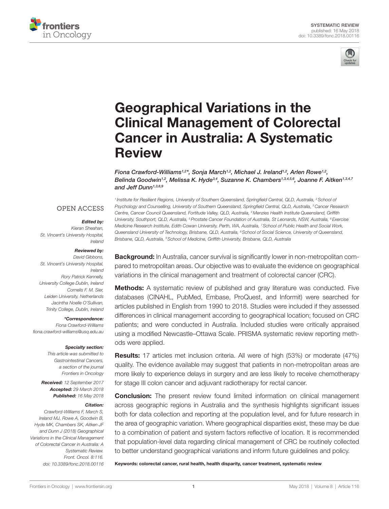



# [Geographical Variations in the](https://www.frontiersin.org/Journal/10.3389/fonc.2018.00116/full)  [Clinical Management of Colorectal](https://www.frontiersin.org/Journal/10.3389/fonc.2018.00116/full)  [Cancer in Australia: A Systematic](https://www.frontiersin.org/Journal/10.3389/fonc.2018.00116/full)  [Review](https://www.frontiersin.org/Journal/10.3389/fonc.2018.00116/full)

*[Fiona Crawford-Williams](https://loop.frontiersin.org/people/476259)1,2 \*, [Sonja March](https://loop.frontiersin.org/people/547924)1,2, [Michael J. Ireland](https://loop.frontiersin.org/people/456135)1,2 , Arlen Rowe1,2 , Belinda Goodwin1,2 , Melissa K. Hyde3,4 , [Suzanne K. Chambers](https://loop.frontiersin.org/people/141530)1,3,4,5,6 , Joanne F. Aitken1,3,4,7 and Jeff Dunn1,3,8,9*

### **OPEN ACCESS**

#### *Edited by:*

*Kieran Sheahan, St. Vincent's University Hospital, Ireland*

#### *Reviewed by:*

*David Gibbons, St. Vincent's University Hospital, Ireland Rory Patrick Kennelly, University College Dublin, Ireland Cornelis F. M. Sier, Leiden University, Netherlands Jacintha Noelle O'Sullivan, Trinity College, Dublin, Ireland*

#### *\*Correspondence:*

*Fiona Crawford-Williams [fiona.crawford-williams@usq.edu.au](mailto:fiona.crawford-williams@usq.edu.au)*

#### *Specialty section:*

*This article was submitted to Gastrointestinal Cancers, a section of the journal Frontiers in Oncology*

*Received: 12 September 2017 Accepted: 29 March 2018 Published: 16 May 2018*

#### *Citation:*

*Crawford-Williams F, March S, Ireland MJ, Rowe A, Goodwin B, Hyde MK, Chambers SK, Aitken JF and Dunn J (2018) Geographical Variations in the Clinical Management of Colorectal Cancer in Australia: A Systematic Review. Front. Oncol. 8:116. doi: [10.3389/fonc.2018.00116](https://doi.org/10.3389/fonc.2018.00116)*

*<sup>1</sup> Institute for Resilient Regions, University of Southern Queensland, Springfield Central, QLD, Australia, 2School of Psychology and Counselling, University of Southern Queensland, Springfield Central, QLD, Australia, 3Cancer Research Centre, Cancer Council Queensland, Fortitude Valley, QLD, Australia, 4Menzies Health Institute Queensland, Griffith University, Southport, QLD, Australia, 5Prostate Cancer Foundation of Australia, St Leonards, NSW, Australia, 6Exercise Medicine Research Institute, Edith Cowan University, Perth, WA, Australia, 7School of Public Health and Social Work, Queensland University of Technology, Brisbane, QLD, Australia, 8School of Social Science, University of Queensland, Brisbane, QLD, Australia, 9School of Medicine, Griffith University, Brisbane, QLD, Australia*

**Background:** In Australia, cancer survival is significantly lower in non-metropolitan compared to metropolitan areas. Our objective was to evaluate the evidence on geographical variations in the clinical management and treatment of colorectal cancer (CRC).

**Methods:** A systematic review of published and gray literature was conducted. Five databases (CINAHL, PubMed, Embase, ProQuest, and Informit) were searched for articles published in English from 1990 to 2018. Studies were included if they assessed differences in clinical management according to geographical location; focused on CRC patients; and were conducted in Australia. Included studies were critically appraised using a modified Newcastle–Ottawa Scale. PRISMA systematic review reporting methods were applied.

Results: 17 articles met inclusion criteria. All were of high (53%) or moderate (47%) quality. The evidence available may suggest that patients in non-metropolitan areas are more likely to experience delays in surgery and are less likely to receive chemotherapy for stage III colon cancer and adjuvant radiotherapy for rectal cancer.

**Conclusion:** The present review found limited information on clinical management across geographic regions in Australia and the synthesis highlights significant issues both for data collection and reporting at the population level, and for future research in the area of geographic variation. Where geographical disparities exist, these may be due to a combination of patient and system factors reflective of location. It is recommended that population-level data regarding clinical management of CRC be routinely collected to better understand geographical variations and inform future guidelines and policy.

Keywords: colorectal cancer, rural health, health disparity, cancer treatment, systematic review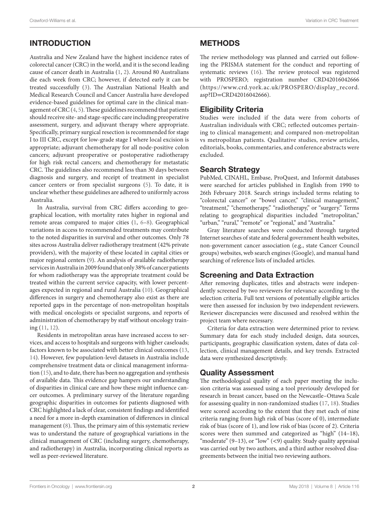# INTRODUCTION

Australia and New Zealand have the highest incidence rates of colorectal cancer (CRC) in the world, and it is the second leading cause of cancer death in Australia [\(1,](#page-10-0) [2\)](#page-10-1). Around 80 Australians die each week from CRC; however, if detected early it can be treated successfully [\(3\)](#page-10-2). The Australian National Health and Medical Research Council and Cancer Australia have developed evidence-based guidelines for optimal care in the clinical management of CRC ([4](#page-10-3), [5](#page-10-4)). These guidelines recommend that patients should receive site- and stage-specific care including preoperative assessment, surgery, and adjuvant therapy where appropriate. Specifically, primary surgical resection is recommended for stage I to III CRC, except for low-grade stage I where local excision is appropriate; adjuvant chemotherapy for all node-positive colon cancers; adjuvant preoperative or postoperative radiotherapy for high risk rectal cancers; and chemotherapy for metastatic CRC. The guidelines also recommend less than 30 days between diagnosis and surgery, and receipt of treatment in specialist cancer centers or from specialist surgeons ([5](#page-10-4)). To date, it is unclear whether these guidelines are adhered to uniformly across Australia.

In Australia, survival from CRC differs according to geographical location, with mortality rates higher in regional and remote areas compared to major cities [\(1](#page-10-0), [6](#page-10-5)[–8\)](#page-10-6). Geographical variations in access to recommended treatments may contribute to the noted disparities in survival and other outcomes. Only 78 sites across Australia deliver radiotherapy treatment (42% private providers), with the majority of these located in capital cities or major regional centers [\(9\)](#page-10-7). An analysis of available radiotherapy services in Australia in 2009 found that only 38% of cancer patients for whom radiotherapy was the appropriate treatment could be treated within the current service capacity, with lower percentages expected in regional and rural Australia [\(10](#page-10-8)). Geographical differences in surgery and chemotherapy also exist as there are reported gaps in the percentage of non-metropolitan hospitals with medical oncologists or specialist surgeons, and reports of administration of chemotherapy by staff without oncology training ([11](#page-10-9), [12](#page-10-10)).

Residents in metropolitan areas have increased access to services, and access to hospitals and surgeons with higher caseloads; factors known to be associated with better clinical outcomes ([13,](#page-10-11) [14](#page-10-12)). However, few population-level datasets in Australia include comprehensive treatment data or clinical management information ([15\)](#page-10-13), and to date, there has been no aggregation and synthesis of available data. This evidence gap hampers our understanding of disparities in clinical care and how these might influence cancer outcomes. A preliminary survey of the literature regarding geographic disparities in outcomes for patients diagnosed with CRC highlighted a lack of clear, consistent findings and identified a need for a more in-depth examination of differences in clinical management ([8](#page-10-6)). Thus, the primary aim of this systematic review was to understand the nature of geographical variations in the clinical management of CRC (including surgery, chemotherapy, and radiotherapy) in Australia, incorporating clinical reports as well as peer-reviewed literature.

# METHODS

The review methodology was planned and carried out following the PRISMA statement for the conduct and reporting of systematic reviews ([16\)](#page-10-14). The review protocol was registered with PROSPERO; registration number CRD42016042666 ([https://www.crd.york.ac.uk/PROSPERO/display\\_record.](https://www.crd.york.ac.uk/PROSPERO/display_record.asp?ID=CRD42016042666) asp?ID=[CRD42016042666\)](https://www.crd.york.ac.uk/PROSPERO/display_record.asp?ID=CRD42016042666).

# Eligibility Criteria

Studies were included if the data were from cohorts of Australian individuals with CRC; reflected outcomes pertaining to clinical management; and compared non-metropolitan vs metropolitan patients. Qualitative studies, review articles, editorials, books, commentaries, and conference abstracts were excluded.

## Search Strategy

PubMed, CINAHL, Embase, ProQuest, and Informit databases were searched for articles published in English from 1990 to 26th February 2018. Search strings included terms relating to "colorectal cancer" or "bowel cancer," "clinical management," "treatment," "chemotherapy," "radiotherapy," or "surgery." Terms relating to geographical disparities included "metropolitan," "urban," "rural," "remote" or "regional," and "Australia."

Gray literature searches were conducted through targeted Internet searches of state and federal government health websites, non-government cancer association (e.g., state Cancer Council groups) websites, web search engines (Google), and manual hand searching of reference lists of included articles.

# Screening and Data Extraction

After removing duplicates, titles and abstracts were independently screened by two reviewers for relevance according to the selection criteria. Full text versions of potentially eligible articles were then assessed for inclusion by two independent reviewers. Reviewer discrepancies were discussed and resolved within the project team where necessary.

Criteria for data extraction were determined prior to review. Summary data for each study included design, data sources, participants, geographic classification system, dates of data collection, clinical management details, and key trends. Extracted data were synthesized descriptively.

# Quality Assessment

The methodological quality of each paper meeting the inclusion criteria was assessed using a tool previously developed for research in breast cancer, based on the Newcastle–Ottawa Scale for assessing quality in non-randomized studies [\(17,](#page-10-15) [18\)](#page-10-16). Studies were scored according to the extent that they met each of nine criteria ranging from high risk of bias (score of 0), intermediate risk of bias (score of 1), and low risk of bias (score of 2). Criteria scores were then summed and categorized as "high" (14–18), "moderate" (9–13), or "low" (<9) quality. Study quality appraisal was carried out by two authors, and a third author resolved disagreements between the initial two reviewing authors.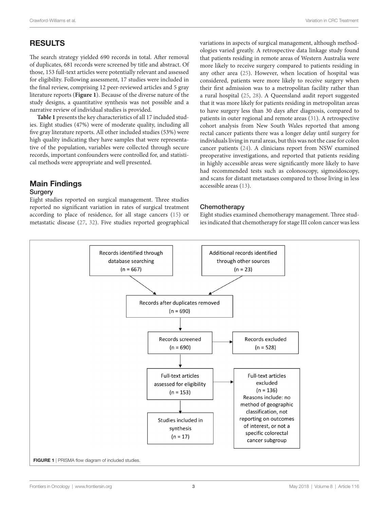# RESULTS

The search strategy yielded 690 records in total. After removal of duplicates, 681 records were screened by title and abstract. Of those, 153 full-text articles were potentially relevant and assessed for eligibility. Following assessment, 17 studies were included in the final review, comprising 12 peer-reviewed articles and 5 gray literature reports (**[Figure 1](#page-4-0)**). Because of the diverse nature of the study designs, a quantitative synthesis was not possible and a narrative review of individual studies is provided.

**[Table 1](#page-5-0)** presents the key characteristics of all 17 included studies. Eight studies (47%) were of moderate quality, including all five gray literature reports. All other included studies (53%) were high quality indicating they have samples that were representative of the population, variables were collected through secure records, important confounders were controlled for, and statistical methods were appropriate and well presented.

### Main Findings **Surgery**

Eight studies reported on surgical management. Three studies reported no significant variation in rates of surgical treatment according to place of residence, for all stage cancers [\(15](#page-10-13)) or metastatic disease ([27,](#page-11-0) [32\)](#page-11-1). Five studies reported geographical variations in aspects of surgical management, although methodologies varied greatly. A retrospective data linkage study found that patients residing in remote areas of Western Australia were more likely to receive surgery compared to patients residing in any other area [\(25](#page-11-2)). However, when location of hospital was considered, patients were more likely to receive surgery when their first admission was to a metropolitan facility rather than a rural hospital [\(25,](#page-11-2) [28](#page-11-3)). A Queensland audit report suggested that it was more likely for patients residing in metropolitan areas to have surgery less than 30 days after diagnosis, compared to patients in outer regional and remote areas ([31](#page-11-4)). A retrospective cohort analysis from New South Wales reported that among rectal cancer patients there was a longer delay until surgery for individuals living in rural areas, but this was not the case for colon cancer patients [\(24](#page-11-5)). A clinicians report from NSW examined preoperative investigations, and reported that patients residing in highly accessible areas were significantly more likely to have had recommended tests such as colonoscopy, sigmoidoscopy, and scans for distant metastases compared to those living in less accessible areas ([13\)](#page-10-11).

#### **Chemotherapy**

<span id="page-4-0"></span>Eight studies examined chemotherapy management. Three studies indicated that chemotherapy for stage III colon cancer was less

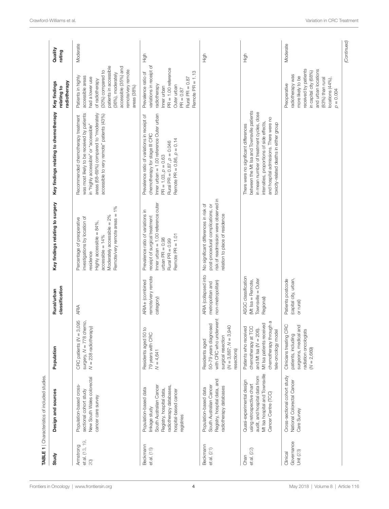<span id="page-5-0"></span>

|                                     | TABLE 1   Characteristics of included studies                                                                                                                   |                                                                                                                                                       |                                                                             |                                                                                                                                                                                           |                                                                                                                                                                                                                                                                   |                                                                                                                                                                                                                           |                   |
|-------------------------------------|-----------------------------------------------------------------------------------------------------------------------------------------------------------------|-------------------------------------------------------------------------------------------------------------------------------------------------------|-----------------------------------------------------------------------------|-------------------------------------------------------------------------------------------------------------------------------------------------------------------------------------------|-------------------------------------------------------------------------------------------------------------------------------------------------------------------------------------------------------------------------------------------------------------------|---------------------------------------------------------------------------------------------------------------------------------------------------------------------------------------------------------------------------|-------------------|
| Study                               | Design and sources                                                                                                                                              | Population                                                                                                                                            | classification<br>Rural/urban                                               | Key findings relating to surgery                                                                                                                                                          | Key findings relating to chemotherapy                                                                                                                                                                                                                             | radiotherapy<br>Key findings<br>relating to                                                                                                                                                                               | Quality<br>rating |
| et al. (13, 19,<br>Armstrong<br>20) | New South Wales colorectal<br>Population-based cross-<br>sectional cohort study<br>cancer care survey                                                           | CRC patients $(N = 3,095$<br>surgery, $N = 778$ chemo,<br>$N = 238$ radiotherapy)                                                                     | ARIA                                                                        | Remote/very remote areas = 1%<br>Moderately accessible = 2%<br>investigations by location of<br>Percentage of preoperative<br>Highly accessible = 84%,<br>$accessible = 14%$<br>residence | was most likely to be received by patients<br>areas (68-69%) compared to "moderately<br>accessible to very remote" patients (43%)<br>Recommended chemotherapy treatment<br>in "highly accessible" or "accessible"                                                 | patients in accessible<br>accessible (35%) and<br>remote/very remote<br>(30%) compared to<br>(36%), moderately<br>Patients in highly<br>accessible areas<br>had a lower use<br>of radiotherapy<br>area <sub>8</sub> (38%) | Moderate          |
| Beckmann<br>et al. (15)             | South Australian Cancer<br>radiotherapy databases,<br>Population-based data<br>Registry, hospital data,<br>hospital-based cancer<br>linkage study<br>registries | $\Omega$<br>Residents aged 50<br>79 years with CRC<br>$N = 4,641$                                                                                     | remote/very remote<br>ARIA+ (combined<br>category)                          | Inner urban $= 1.00$ reference outer<br>Prevalence ratio of variations in<br>receipt of surgical treatment<br>Remote PR = 1.01<br>$urban PR = 0.98$<br>Rural PR $= 0.99$                  | Inner urban $= 1.00$ reference Outer urban<br>Prevalence ratio of variations in receipt of<br>chemotherapy for stage III CRC<br>Remote PR = $0.86, p = 0.14$<br>Rural PR = $0.87$ , $p = 0.046$<br>$PR = 1.03, p = 0.63$                                          | variations in receipt of<br>$PR = 1.00$ reference<br>Remote PR = 1.13<br>Prevalence ratio of<br>Rural PR = $0.87$<br>radiotherapy<br>Outer urban<br>Inner urban<br>$PR = 0.87$                                            | ら<br>王            |
| Beckmann<br>et al. $(21)$           | Registry, hospital data, and<br>South Australian Cancer<br>radiotherapy databases<br>Population-based data                                                      | with CRC who underwent<br>50-79 years diagnosed<br>$N = 3,887; N = 3,940$<br>surgical resection<br>Residents aged<br>resections)                      | ARIA (collapsed into<br>non-metropolitan)<br>metropolitan and               | risk of readmission were observed in<br>No significant differences in risk of<br>post-procedural complications, or<br>relation to place of residence                                      |                                                                                                                                                                                                                                                                   |                                                                                                                                                                                                                           | ら<br>王            |
| et al. $(22)$<br>Chan               | Mt Isa hospital and Townsville<br>audit, and hospital data from<br>Quasi-experimental design<br>using retrospective chart<br>Cancer Centre (TCC)                | chemotherapy through a<br>Mt Isa patients received<br>chemotherapy at TCC<br>Patients who received<br>and Mt Isa $(N = 206)$ .<br>tele-oncology model | ASGC classification<br>Townsville = Outer<br>(Mt Isa = Remote,<br>Regional) |                                                                                                                                                                                           | between the Mt Isa and Townsville patients<br>in mean number of treatment cycles, dose<br>and hospital admissions. There were no<br>intensities, proportions of side effects,<br>toxicity-related deaths in either group<br>There were no significant differences |                                                                                                                                                                                                                           | .<br>도            |
| Governance<br>Unit (23)<br>Clinical | Cross-sectional cohort study<br>National Colorectal Cancer<br>Care Survey                                                                                       | Clinicians treating CRC<br>surgeons, medical and<br>radiation oncologists<br>patients, including<br>$(N = 2,669)$                                     | (capital city, urban,<br>Patients postcode<br>or rural)                     |                                                                                                                                                                                           |                                                                                                                                                                                                                                                                   | received by patients<br>and urban locations<br>in capital city (68%)<br>radiotherapy was<br>more likely to be<br>(83%) than rural<br>locations (44%),<br>Preoperative<br>$p = 0.004$                                      | Moderate          |
|                                     |                                                                                                                                                                 |                                                                                                                                                       |                                                                             |                                                                                                                                                                                           |                                                                                                                                                                                                                                                                   |                                                                                                                                                                                                                           | (Continued)       |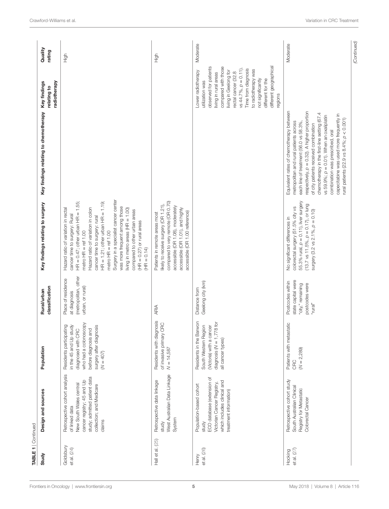| TABLE 1   Continued      |                                                                                                                                                                                |                                                                                                                                                                    |                                                                                          |                                                                                                                                                                                                                                                                                                                                                                                                                                                                                        |                                                                                                                                                                                                                                                                                                                                                                                                                                                            |                                                                                                                                                                                                                                                                                                                        |                   |
|--------------------------|--------------------------------------------------------------------------------------------------------------------------------------------------------------------------------|--------------------------------------------------------------------------------------------------------------------------------------------------------------------|------------------------------------------------------------------------------------------|----------------------------------------------------------------------------------------------------------------------------------------------------------------------------------------------------------------------------------------------------------------------------------------------------------------------------------------------------------------------------------------------------------------------------------------------------------------------------------------|------------------------------------------------------------------------------------------------------------------------------------------------------------------------------------------------------------------------------------------------------------------------------------------------------------------------------------------------------------------------------------------------------------------------------------------------------------|------------------------------------------------------------------------------------------------------------------------------------------------------------------------------------------------------------------------------------------------------------------------------------------------------------------------|-------------------|
| Study                    | Design and sources                                                                                                                                                             | Population                                                                                                                                                         | classification<br>Rural/urban                                                            | Key findings relating to surgery                                                                                                                                                                                                                                                                                                                                                                                                                                                       | Key findings relating to chemotherapy                                                                                                                                                                                                                                                                                                                                                                                                                      | radiotherapy<br>Key findings<br>relating to                                                                                                                                                                                                                                                                            | Quality<br>rating |
| Goldsbury<br>et al. (24) | Retrospective cohort analysis<br>study; admitted patient data<br>cancer registry; 45 and Up<br>New South Wales central<br>collection; and Medicare<br>of linked data<br>claims | who had a colonoscopy<br>Residents participating<br>in the 45 and Up study<br>surgery after diagnosis<br>before diagnosis and<br>diagnosed with CRC<br>$(N = 407)$ | (metropolitan, other<br>Place of residence<br>urban, or rural)<br>at diagnosis           | Surgery in a specialist cancer center<br>$HR = 0.47$ ; other urban $HR = 1.55$ ;<br>$HR = 1.21$ ; other urban $HR = 1.19$ ;<br>was more frequent among those<br>Hazard ratio of variation in colon<br>Hazard ratio of variation in rectal<br>living in metro areas $(HR = 1.00)$<br>compared to other urban areas<br>cancer time to surgery: Rural<br>cancer time to surgery: rural<br>$(HR = 0.27)$ or rural areas<br>metro $HR = ref 1.00$<br>metro $HR = ref 1.00$<br>$(HR = 0.14)$ |                                                                                                                                                                                                                                                                                                                                                                                                                                                            |                                                                                                                                                                                                                                                                                                                        | High              |
| Hall et al. (25)         | West Australian Data Linkage<br>Retrospective data linkage<br>System<br>study                                                                                                  | Residents with diagnosis<br>of invasive primary CRC<br>$N = 14,587$                                                                                                | ARIA                                                                                     | compared to very remote (OR 0.70)<br>likely to receive surgery (OR 1.21),<br>accessible (OR 1.08), moderately<br>accessible (OR 1.01), and highly<br>accessible (OR 1.00 reference)<br>Patients in remote areas most                                                                                                                                                                                                                                                                   |                                                                                                                                                                                                                                                                                                                                                                                                                                                            |                                                                                                                                                                                                                                                                                                                        | High              |
| et al. (26)<br>Henry     | ECO database (extension of<br>which includes clinical and<br>Victorian Cancer Registry,<br>Population-based cohort<br>treatment information)<br>study                          | Residents in the Barwon<br>diagnosis $(N = 1,778$ for<br>South Western Region<br>(Victoria) with a cancer<br>all cancer types)                                     | Geelong city (km)<br>Distance from                                                       |                                                                                                                                                                                                                                                                                                                                                                                                                                                                                        |                                                                                                                                                                                                                                                                                                                                                                                                                                                            | different geographical<br>observed for patients<br>compared with those<br>vs 44.7%, $p = 0.11$ ).<br>Time from diagnosis<br>to radiotherapy was<br>Lower radiotherapy<br>living in Geelong for<br>rectal cancer (32.8<br>living in rural areas<br>not significantly<br>different for the<br>utilization was<br>regions | Moderate          |
| et al. $(27)$<br>Hocking | Retrospective cohort study<br>South Australian Clinical<br>Registry for Metastatic<br>Colorectal Cancer                                                                        | Patients with metastatic<br>$(N = 2,289)$<br>CRC                                                                                                                   | state capital were<br>Postcodes within<br>postcodes were<br>"city," remaining<br>"rural" | 55.3% rural, $p = 0.11$ ), liver surgery<br>$(13.7 \text{ vs } 11.5\%, p = 0.17), \text{ or } \text{long}$<br>colorectal surgery (51.5% city vs<br>surgery $(3.2 \text{ vs } 2.1\% , p = 0.10)$<br>No significant differences in                                                                                                                                                                                                                                                       | Equivalent rates of chemotherapy between<br>respectively, $p = 0.32$ ). A higher proportion<br>chemotherapy in the first-line setting (67.4<br>capecitabine was used more frequently in<br>vs 59.9%; $p = 0.01$ ). When an oxaliplatin<br>rural patients (22.9 vs $8.4\%$ ; $p < 0.001$ )<br>metropolitan and rural patients across<br>each line of treatment (56.0 vs 58.3%,<br>of city patients received combination<br>combination was prescribed, oral |                                                                                                                                                                                                                                                                                                                        | Moderate          |
|                          |                                                                                                                                                                                |                                                                                                                                                                    |                                                                                          |                                                                                                                                                                                                                                                                                                                                                                                                                                                                                        |                                                                                                                                                                                                                                                                                                                                                                                                                                                            |                                                                                                                                                                                                                                                                                                                        | (Continued)       |

[Frontiers in Oncology](https://www.frontiersin.org/Oncology/) | [www.frontiersin.org](https://www.frontiersin.org) May 2018 **5** May 2018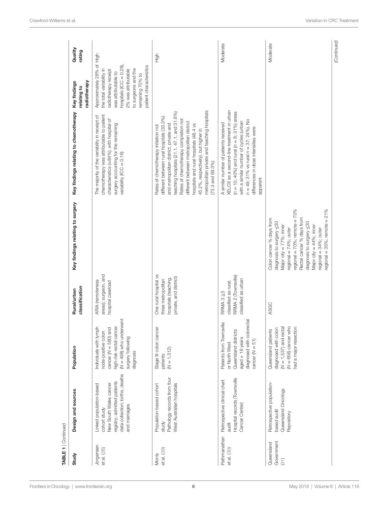| <b>TABLE 1</b>   Continued       |                                                                                                                                                      |                                                                                                                                                                          |                                                                                               |                                                                                                                                                                                                                                                                                                               |                                                                                                                                                                                                                                                                                                                                                                                                                             |                                                                                                                                                                                                                               |                   |
|----------------------------------|------------------------------------------------------------------------------------------------------------------------------------------------------|--------------------------------------------------------------------------------------------------------------------------------------------------------------------------|-----------------------------------------------------------------------------------------------|---------------------------------------------------------------------------------------------------------------------------------------------------------------------------------------------------------------------------------------------------------------------------------------------------------------|-----------------------------------------------------------------------------------------------------------------------------------------------------------------------------------------------------------------------------------------------------------------------------------------------------------------------------------------------------------------------------------------------------------------------------|-------------------------------------------------------------------------------------------------------------------------------------------------------------------------------------------------------------------------------|-------------------|
| Study                            | Design and sources                                                                                                                                   | Population                                                                                                                                                               | classification<br>Rural/urban                                                                 | Key findings relating to surgery                                                                                                                                                                                                                                                                              | Key findings relating to chemotherapy                                                                                                                                                                                                                                                                                                                                                                                       | Key findings<br>radiotherapy<br>relating to                                                                                                                                                                                   | Quality<br>rating |
| Jorgensen<br>et al. (28)         | data collection; births, deaths<br>registry; admitted patients<br>New South Wales cancer<br>Linked population-based<br>and marriages<br>cohort study | vent<br>Individuals with lymph<br>high-risk rectal cancer<br>$M = 498$ ) who underw<br>cancer ( $N = 580$ ) and<br>node-positive colon<br>surgery following<br>diagnosis | areas); surgeon, and<br><b>ARIA</b> (remoteness<br>hospital caseload                          |                                                                                                                                                                                                                                                                                                               | The majority of the variability in receipt of<br>chemotherapy was attributable to patient<br>characteristics (~84%), with hospital of<br>surgery accounting for the remaining<br>variability $(ICC = 0.16)$                                                                                                                                                                                                                 | Approximately 28% of High<br>hospitals $(ICC = 0.28)$<br>patient characteristics<br>2% was attributable<br>to surgeons and the<br>the total variability in<br>radiotherapy receipt<br>vas attributable to<br>remaining 70% to |                   |
| et al. (29)<br>Morris            | Pathology records from four<br>West Australian hospitals<br>Population-based cohort<br>study                                                         | Stage III colon cancer<br>$(N = 1,312)$<br>patients                                                                                                                      | One rural hospital vs<br>private, and district)<br>hospitals (teaching,<br>three metropolitan |                                                                                                                                                                                                                                                                                                               | metropolitan private and teaching hospitals<br>eaching hospitals (21.1, 47.1, and 31.8%)<br>different between rural hospitals (33.3%)<br>Rates of chemotherapy completion not<br>different between metropolitan district<br>and metropolitan district, private and<br>nospitals and rural hospitals (48.4 vs<br>Rates of chemotherapy initiation not<br>45.2%, respectively), but higher in<br>$(73.3 \text{ and } 69.3\%)$ |                                                                                                                                                                                                                               | High              |
| Pathmanathan<br>et al. (30)      | Hospital records (Townsville<br>Retrospective clinical chart<br>Cancer Center)<br>audit                                                              | diagnosed with colorectal<br>$\underline{\mathbb{O}}$<br>Patients from Townsvi<br>Queensland districts<br>aged > 18 years<br>cancer $(N = 51)$<br>or North West          | RRMA 2 (Townsville)<br>classified as urban<br>classified as rural,<br>RRMA 3 23               |                                                                                                                                                                                                                                                                                                               | XELOX as a second-line treatment in urban<br>$(n = 10; 40\%)$ and rural $(n = 8; 31\%)$ areas<br>$n = 49$ ; 31% vs rural $n = 37$ ; 24%). No<br>with a similar number of cycles (urban<br>A similar number of patients received<br>differences in dose intensities were<br>apparent                                                                                                                                         |                                                                                                                                                                                                                               | Moderate          |
| Government<br>Queensland<br>(31) | Retrospective population-<br>Queensland Oncology<br>based audit<br>Repository                                                                        | $(N = 1,537)$ and rectal<br>$(N = 656)$ cancer who<br>diagnosed with colon<br>had a major resection<br>Queensland patients                                               | ASGC                                                                                          | regional = $70\%$ ; remote = $70\%$<br>regional = $35\%$ ; remote = $21\%$<br>Rectal cancer % days from<br>Colon cancer % days from<br>diagnosis to surgery <30<br>diagnosis to surgery <30<br>Major city = 77%; inner<br>Major $city = 44\%$ ; inner<br>regional = $74\%$ ; outer<br>regional $=$ 34%; outer |                                                                                                                                                                                                                                                                                                                                                                                                                             |                                                                                                                                                                                                                               | Moderate          |

| Volume 8 | [Article 116](https://www.frontiersin.org/oncology/archive)

(Continued) *(Continued)*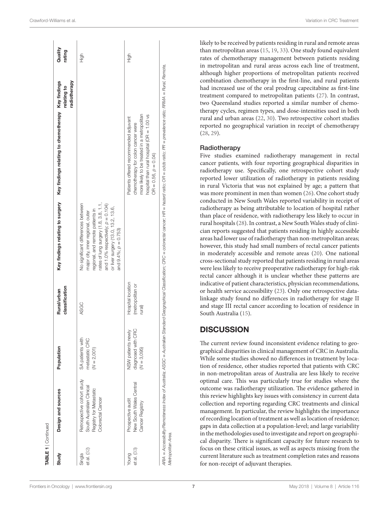| Study                 | Design and sources                                                                                      | Population                                                | classification<br>Rural/urban                   | Key findings relating to surgery                                                                                                                                                                                                                                      | Key findings relating to chemotherapy Key findings                                                                                                                                                                  | radiotherapy<br>relating to | Quality<br>rating |
|-----------------------|---------------------------------------------------------------------------------------------------------|-----------------------------------------------------------|-------------------------------------------------|-----------------------------------------------------------------------------------------------------------------------------------------------------------------------------------------------------------------------------------------------------------------------|---------------------------------------------------------------------------------------------------------------------------------------------------------------------------------------------------------------------|-----------------------------|-------------------|
| et al. (32)<br>Singla | Retrospective cohort study<br>South Australian Clinical<br>Registry for Metastatic<br>Colorectal Cancer | SA patients with<br>metastatic CRC<br>$(N = 2,001)$       | ASGC                                            | rates of lung surgery (1.8, 3.8, 1.1,<br>No significant differences between<br>and 1.0% respectively; $\rho = 0.104$ )<br>or liver surgery (13.0, 13.2, 13.6,<br>regional, and remote patients in<br>major city, inner regional, outer<br>and $9.4\%$ ; $p = 0.753$ ) |                                                                                                                                                                                                                     |                             | 高王                |
| et al. (33)<br>Young  | New South Wales Central<br>Prospective audit<br>Cancer Registry                                         | diagnosed with CRC<br>NSW patients newly<br>$(N = 3,095)$ | Hospital location<br>(metropolitan or<br>rural) |                                                                                                                                                                                                                                                                       | more likely to be treated in a metropolitan<br>hospital than rural hospital (OR = 1.00 vs<br>Patients offered recommended adjuvant<br>chemotherapy for colon cancer were<br>$OR = 0.56, p = 0.04$                   |                             | 高王                |
| Metropolitan Area.    |                                                                                                         |                                                           |                                                 |                                                                                                                                                                                                                                                                       | ARA = Accessibility/Remoteness Index of Australia; ASGC = Australia; Standard Geographical Oassification; CRC = colonectal cancer; HR = hazard ratio; OR = odds ratio; PR = prevalence ratio; RRMA = Rural, Remote, |                             |                   |

Variation in CRC Treatment

likely to be received by patients residing in rural and remote areas than metropolitan areas ([15,](#page-10-13) [19](#page-10-17), [33](#page-11-9)). One study found equivalent rates of chemotherapy management between patients residing in metropolitan and rural areas across each line of treatment, although higher proportions of metropolitan patients received combination chemotherapy in the first-line, and rural patients had increased use of the oral prodrug capecitabine as first-line treatment compared to metropolitan patients ([27\)](#page-11-0). In contrast, two Queensland studies reported a similar number of chemotherapy cycles, regimen types, and dose-intensities used in both rural and urban areas [\(22,](#page-10-20) [30](#page-11-8)). Two retrospective cohort studies reported no geographical variation in receipt of chemotherapy [\(28,](#page-11-3) [29\)](#page-11-7).

### Radiotherapy

Five studies examined radiotherapy management in rectal cancer patients, with four reporting geographical disparities in radiotherapy use. Specifically, one retrospective cohort study reported lower utilization of radiotherapy in patients residing in rural Victoria that was not explained by age; a pattern that was more prominent in men than women ([26\)](#page-11-6). One cohort study conducted in New South Wales reported variability in receipt of radiotherapy as being attributable to location of hospital rather than place of residence, with radiotherapy less likely to occur in rural hospitals [\(28](#page-11-3)). In contrast, a New South Wales study of clinician reports suggested that patients residing in highly accessible areas had lower use of radiotherapy than non-metropolitan areas; however, this study had small numbers of rectal cancer patients in moderately accessible and remote areas [\(20](#page-10-18)). One national cross-sectional study reported that patients residing in rural areas were less likely to receive preoperative radiotherapy for high-risk rectal cancer although it is unclear whether these patterns are indicative of patient characteristics, physician recommendations, or health service accessibility [\(23](#page-10-21)). Only one retrospective datalinkage study found no differences in radiotherapy for stage II and stage III rectal cancer according to location of residence in South Australia ([15\)](#page-10-13).

## **DISCUSSION**

The current review found inconsistent evidence relating to geographical disparities in clinical management of CRC in Australia. While some studies showed no differences in treatment by location of residence, other studies reported that patients with CRC in non-metropolitan areas of Australia are less likely to receive optimal care. This was particularly true for studies where the outcome was radiotherapy utilization. The evidence gathered in this review highlights key issues with consistency in current data collection and reporting regarding CRC treatments and clinical management. In particular, the review highlights the importance of recording location of treatment as well as location of residence; gaps in data collection at a population-level; and large variability in the methodologies used to investigate and report on geographical disparity. There is significant capacity for future research to focus on these critical issues, as well as aspects missing from the current literature such as treatment completion rates and reasons for non-receipt of adjuvant therapies.

**TABLE 1** | Continued

BLE 1 | Continued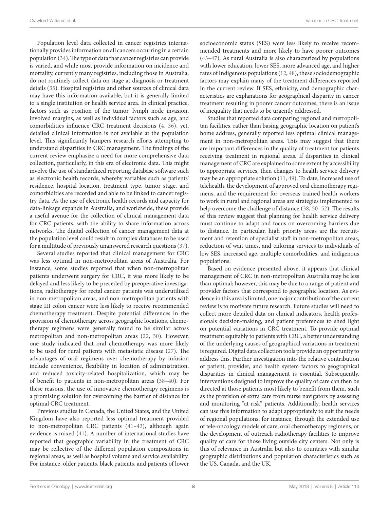Population level data collected in cancer registries internationally provides information on all cancers occurring in a certain population ([34\)](#page-11-10). The type of data that cancer registries can provide is varied, and while most provide information on incidence and mortality, currently many registries, including those in Australia, do not routinely collect data on stage at diagnosis or treatment details ([35\)](#page-11-11). Hospital registries and other sources of clinical data may have this information available, but it is generally limited to a single institution or health service area. In clinical practice, factors such as position of the tumor, lymph node invasion, involved margins, as well as individual factors such as age, and comorbidities influence CRC treatment decisions ([4](#page-10-3), [36](#page-11-12)), yet, detailed clinical information is not available at the population level. This significantly hampers research efforts attempting to understand disparities in CRC management. The findings of the current review emphasize a need for more comprehensive data collection, particularly, in this era of electronic data. This might involve the use of standardized reporting database software such as electronic health records, whereby variables such as patients' residence, hospital location, treatment type, tumor stage, and comorbidities are recorded and able to be linked to cancer registry data. As the use of electronic health records and capacity for data-linkage expands in Australia, and worldwide, these provide a useful avenue for the collection of clinical management data for CRC patients, with the ability to share information across networks. The digital collection of cancer management data at the population level could result in complex databases to be used for a multitude of previously unanswered research questions ([37\)](#page-11-13).

Several studies reported that clinical management for CRC was less optimal in non-metropolitan areas of Australia. For instance, some studies reported that when non-metropolitan patients underwent surgery for CRC, it was more likely to be delayed and less likely to be preceded by preoperative investigations, radiotherapy for rectal cancer patients was underutilized in non-metropolitan areas, and non-metropolitan patients with stage III colon cancer were less likely to receive recommended chemotherapy treatment. Despite potential differences in the provision of chemotherapy across geographic locations, chemotherapy regimens were generally found to be similar across metropolitan and non-metropolitan areas ([22,](#page-10-20) [30](#page-11-8)). However, one study indicated that oral chemotherapy was more likely to be used for rural patients with metastatic disease ([27](#page-11-0)). The advantages of oral regimens over chemotherapy by infusion include convenience, flexibility in location of administration, and reduced toxicity-related hospitalization, which may be of benefit to patients in non-metropolitan areas [\(38](#page-11-14)[–40\)](#page-11-15). For these reasons, the use of innovative chemotherapy regimens is a promising solution for overcoming the barrier of distance for optimal CRC treatment.

Previous studies in Canada, the United States, and the United Kingdom have also reported less optimal treatment provided to non-metropolitan CRC patients [\(41](#page-11-16)[–43](#page-11-17)), although again evidence is mixed [\(41](#page-11-16)). A number of international studies have reported that geographic variability in the treatment of CRC may be reflective of the different population compositions in regional areas, as well as hospital volume and service availability. For instance, older patients, black patients, and patients of lower

socioeconomic status (SES) were less likely to receive recommended treatments and more likely to have poorer outcomes [\(43](#page-11-17)[–47\)](#page-11-18). As rural Australia is also characterized by populations with lower education, lower SES, more advanced age, and higher rates of Indigenous populations [\(12](#page-10-10), [48](#page-11-19)), these sociodemographic factors may explain many of the treatment differences reported in the current review. If SES, ethnicity, and demographic characteristics are explanations for geographical disparity in cancer treatment resulting in poorer cancer outcomes, there is an issue of inequality that needs to be urgently addressed.

Studies that reported data comparing regional and metropolitan facilities, rather than basing geographic location on patient's home address, generally reported less optimal clinical management in non-metropolitan areas. This may suggest that there are important differences in the quality of treatment for patients receiving treatment in regional areas. If disparities in clinical management of CRC are explained to some extent by accessibility to appropriate services, then changes to health service delivery may be an appropriate solution [\(11](#page-10-9), [49\)](#page-11-20). To date, increased use of telehealth, the development of approved oral chemotherapy regimens, and the requirement for overseas trained health workers to work in rural and regional areas are strategies implemented to help overcome the challenge of distance ([38,](#page-11-14) [50–](#page-11-21)[52\)](#page-11-22). The results of this review suggest that planning for health service delivery must continue to adapt and focus on overcoming barriers due to distance. In particular, high priority areas are the recruitment and retention of specialist staff in non-metropolitan areas, reduction of wait times, and tailoring services to individuals of low SES, increased age, multiple comorbidities, and indigenous populations.

Based on evidence presented above, it appears that clinical management of CRC in non-metropolitan Australia may be less than optimal; however, this may be due to a range of patient and provider factors that correspond to geographic location. As evidence in this area is limited, one major contribution of the current review is to motivate future research. Future studies will need to collect more detailed data on clinical indicators, health professionals decision-making, and patient preferences to shed light on potential variations in CRC treatment. To provide optimal treatment equitably to patients with CRC, a better understanding of the underlying causes of geographical variations in treatment is required. Digital data collection tools provide an opportunity to address this. Further investigation into the relative contribution of patient, provider, and health system factors to geographical disparities in clinical management is essential. Subsequently, interventions designed to improve the quality of care can then be directed at those patients most likely to benefit from them, such as the provision of extra care from nurse navigators by assessing and monitoring "at risk" patients. Additionally, health services can use this information to adapt appropriately to suit the needs of regional populations, for instance, through the extended use of tele-oncology models of care, oral chemotherapy regimens, or the development of outreach radiotherapy facilities to improve quality of care for those living outside city centers. Not only is this of relevance in Australia but also to countries with similar geographic distributions and population characteristics such as the US, Canada, and the UK.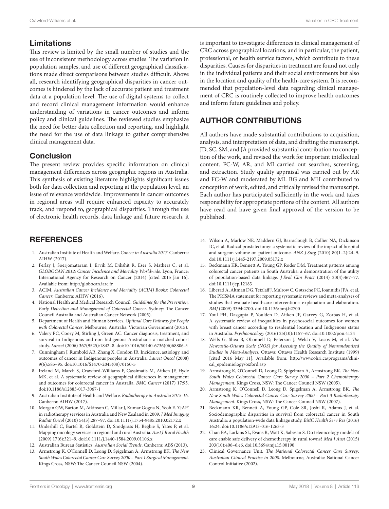### Limitations

This review is limited by the small number of studies and the use of inconsistent methodology across studies. The variation in population samples, and use of different geographical classifications made direct comparisons between studies difficult. Above all, research identifying geographical disparities in cancer outcomes is hindered by the lack of accurate patient and treatment data at a population level. The use of digital systems to collect and record clinical management information would enhance understanding of variations in cancer outcomes and inform policy and clinical guidelines. The reviewed studies emphasize the need for better data collection and reporting, and highlight the need for the use of data linkage to gather comprehensive clinical management data.

### **Conclusion**

The present review provides specific information on clinical management differences across geographic regions in Australia. This synthesis of existing literature highlights significant issues both for data collection and reporting at the population level, an issue of relevance worldwide. Improvements in cancer outcomes in regional areas will require enhanced capacity to accurately track, and respond to, geographical disparities. Through the use of electronic health records, data linkage and future research, it

# **REFERENCES**

- <span id="page-10-0"></span>1. Australian Institute of Health and Welfare. *Cancer in Australia 2017*. Canberra: AIHW (2017).
- <span id="page-10-1"></span>2. Ferlay J, Soerjomataram I, Ervik M, Dikshit R, Eser S, Mathers C, et al. *GLOBOCAN 2012: Cancer Incidence and Mortality Worldwide*. Lyon, France: International Agency for Research on Cancer (2014) [cited 2015 Jan 16]. Available from: <http://globocan.iarc.fr>
- <span id="page-10-2"></span>3. ACIM. *Australian Cancer Incidence and Mortality (ACIM) Books: Colorectal Cancer*. Canberra: AIHW (2016).
- <span id="page-10-3"></span>4. National Health and Medical Research Council. *Guidelines for the Prevention, Early Detection and Management of Colorectal Cancer*. Sydney: The Cancer Council Australia and Australian Cancer Network (2005).
- <span id="page-10-4"></span>5. Department of Health and Human Services. *Optimal Care Pathway for People with Colorectal Cancer*. Melbourne, Australia: Victorian Government (2015).
- <span id="page-10-5"></span>6. Valery PC, Coory M, Stirling J, Green AC. Cancer diagnosis, treatment, and survival in Indigenous and non-Indigenous Australians: a matched cohort study. *Lancet* (2006) 367(9525):1842–8. doi:[10.1016/S0140-6736\(06\)68806-5](https://doi.org/10.1016/S0140-6736(06)68806-5)
- 7. Cunningham J, Rumbold AR, Zhang X, Condon JR. Incidence, aetiology, and outcomes of cancer in Indigenous peoples in Australia. *Lancet Oncol* (2008) 9(6):585–95. doi[:10.1016/S1470-2045\(08\)70150-5](https://doi.org/10.1016/S1470-2045(08)70150-5)
- <span id="page-10-6"></span>8. Ireland M, March S, Crawford-Williams F, Cassimatis M, Aitken JF, Hyde MK, et al. A systematic review of geographical differences in management and outcomes for colorectal cancer in Australia. *BMC Cancer* (2017) 17:95. doi:[10.1186/s12885-017-3067-1](https://doi.org/10.1186/s12885-017-3067-1)
- <span id="page-10-7"></span>9. Australian Institute of Health and Welfare. *Radiotherapy in Australia 2015-16*. Canberra: AIHW (2017).
- <span id="page-10-8"></span>10. Morgan GW, Barton M, Atkinson C, Millar J, Kumar Gogna N, Yeoh E. 'GAP' in radiotherapy services in Australia and New Zealand in 2009. *J Med Imaging Radiat Oncol* (2010) 54(3):287–97. doi:[10.1111/j.1754-9485.2010.02172.x](https://doi.org/10.1111/j.1754-9485.2010.02172.x)
- <span id="page-10-9"></span>11. Underhill C, Bartel R, Goldstein D, Snodgrass H, Begbie S, Yates P, et al. Mapping oncology services in regional and rural Australia. *Aust J Rural Health* (2009) 17(6):321–9. doi[:10.1111/j.1440-1584.2009.01106.x](https://doi.org/10.1111/j.1440-1584.2009.01106.x)
- <span id="page-10-10"></span>12. Australian Bureau Statistics. *Australian Social Trends*. Canberra: ABS (2013).
- <span id="page-10-11"></span>13. Armstrong K, O'Connell D, Leong D, Spigelman A, Armstrong BK. *The New South Wales Colorectal Cancer Care Survey 2000 – Part 1 Surgical Management*. Kings Cross, NSW: The Cancer Council NSW (2004).

is important to investigate differences in clinical management of CRC across geographical locations, and in particular, the patient, professional, or health service factors, which contribute to these disparities. Causes for disparities in treatment are found not only in the individual patients and their social environments but also in the location and quality of the health-care system. It is recommended that population-level data regarding clinical management of CRC is routinely collected to improve health outcomes and inform future guidelines and policy.

# AUTHOR CONTRIBUTIONS

All authors have made substantial contributions to acquisition, analysis, and interpretation of data, and drafting the manuscript. JD, SC, SM, and JA provided substantial contribution to conception of the work, and revised the work for important intellectual content. FC-W, AR, and MI carried out searches, screening, and extraction. Study quality appraisal was carried out by AR and FC-W and moderated by MI. BG and MH contributed to conception of work, edited, and critically revised the manuscript. Each author has participated sufficiently in the work and takes responsibility for appropriate portions of the content. All authors have read and have given final approval of the version to be published.

- <span id="page-10-12"></span>14. Wilson A, Marlow NE, Maddern GJ, Barraclough B, Collier NA, Dickinson IC, et al. Radical prostatectomy: a systematic review of the impact of hospital and surgeon volume on patient outcome. *ANZ J Surg* (2010) 80(1–2):24–9. doi:[10.1111/j.1445-2197.2009.05172.x](https://doi.org/10.1111/j.1445-2197.2009.05172.x)
- <span id="page-10-13"></span>15. Beckmann KR, Bennett A, Young GP, Roder DM. Treatment patterns among colorectal cancer patients in South Australia: a demonstration of the utility of population-based data linkage. *J Eval Clin Pract* (2014) 20(4):467–77. doi:[10.1111/jep.12183](https://doi.org/10.1111/jep.12183)
- <span id="page-10-14"></span>16. Liberati A, Altman DG, Tetzlaff J, Mulrow C, Gøtzsche PC, Ioannidis JPA, et al. The PRISMA statement for reporting systematic reviews and meta-analyses of studies that evaluate healthcare interventions: explanation and elaboration. *BMJ* (2009) 339:b2700. doi[:10.1136/bmj.b2700](https://doi.org/10.1136/bmj.b2700)
- <span id="page-10-15"></span>17. Youl PH, Dasgupta P, Youlden D, Aitken JF, Garvey G, Zorbas H, et al. A systematic review of inequalities in psychosocial outcomes for women with breast cancer according to residential location and Indigenous status in Australia. *Psychooncology* (2016) 25(10):1157–67. doi[:10.1002/pon.4124](https://doi.org/10.1002/pon.4124)
- <span id="page-10-16"></span>18. Wells G, Shea B, O'connell D, Peterson J, Welch V, Losos M, et al. *The Newcastle-Ottawa Scale (NOS) for Assessing the Quality of Nonrandomised Studies in Meta-Analyses*. Ottawa: Ottawa Health Research Institute (1999) [cited 2016 May 11]. Available from: [http://www.ohri.ca/programs/clini](http://www.ohri.ca/programs/clinical_epidemiology/oxford.asp)[cal\\_epidemiology/oxford.asp](http://www.ohri.ca/programs/clinical_epidemiology/oxford.asp)
- <span id="page-10-17"></span>19. Armstrong K, O'Connell D, Leong D, Spigelman A, Armstrong BK. *The New South Wales Colorectal Cancer Care Survey 2000 – Part 2 Chemotherapy Management*. Kings Cross, NSW: The Cancer Council NSW (2005).
- <span id="page-10-18"></span>20. Armstrong K, O'Connell D, Leong D, Spigelman A, Armstrong BK. *The New South Wales Colorectal Cancer Care Survey 2000 – Part 3 Radiotherapy Management*. Kings Cross, NSW: The Cancer Council NSW (2007).
- <span id="page-10-19"></span>21. Beckmann KR, Bennett A, Young GP, Cole SR, Joshi R, Adams J, et al. Sociodemographic disparities in survival from colorectal cancer in South Australia: a population-wide data linkage study. *BMC Health Serv Res* (2016) 16:24. doi[:10.1186/s12913-016-1263-3](https://doi.org/10.1186/s12913-016-1263-3)
- <span id="page-10-20"></span>22. Chan BA, Larkins SL, Evans R, Watt K, Sabesan S. Do teleoncology models of care enable safe delivery of chemotherapy in rural towns? *Med J Aust* (2015) 203(10):406–6.e6. doi:[10.5694/mja15.00190](https://doi.org/10.5694/mja15.00190)
- <span id="page-10-21"></span>23. Clinical Governance Unit. *The National Colorectal Cancer Care Survey: Australian Clinical Practice in 2000*. Melbourne, Australia: National Cancer Control Initiative (2002).